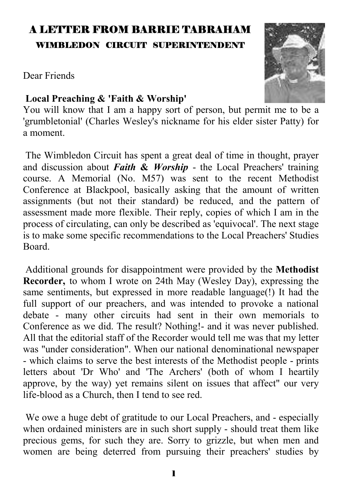# A LETTER FROM BARRIE TABRAHAM WIMBLEDON CIRCUIT SUPERINTENDENT

Dear Friends

#### **Local Preaching & 'Faith & Worship'**

You will know that I am a happy sort of person, but permit me to be a 'grumbletonial' (Charles Wesley's nickname for his elder sister Patty) for a moment.

 The Wimbledon Circuit has spent a great deal of time in thought, prayer and discussion about *Faith* **&** *Worship* - the Local Preachers' training course. A Memorial (No. M57) was sent to the recent Methodist Conference at Blackpool, basically asking that the amount of written assignments (but not their standard) be reduced, and the pattern of assessment made more flexible. Their reply, copies of which I am in the process of circulating, can only be described as 'equivocal'. The next stage is to make some specific recommendations to the Local Preachers' Studies Board.

 Additional grounds for disappointment were provided by the **Methodist Recorder,** to whom I wrote on 24th May (Wesley Day), expressing the same sentiments, but expressed in more readable language(!) It had the full support of our preachers, and was intended to provoke a national debate - many other circuits had sent in their own memorials to Conference as we did. The result? Nothing!- and it was never published. All that the editorial staff of the Recorder would tell me was that my letter was "under consideration". When our national denominational newspaper - which claims to serve the best interests of the Methodist people - prints letters about 'Dr Who' and 'The Archers' (both of whom I heartily approve, by the way) yet remains silent on issues that affect" our very life-blood as a Church, then I tend to see red.

 We owe a huge debt of gratitude to our Local Preachers, and - especially when ordained ministers are in such short supply - should treat them like precious gems, for such they are. Sorry to grizzle, but when men and women are being deterred from pursuing their preachers' studies by

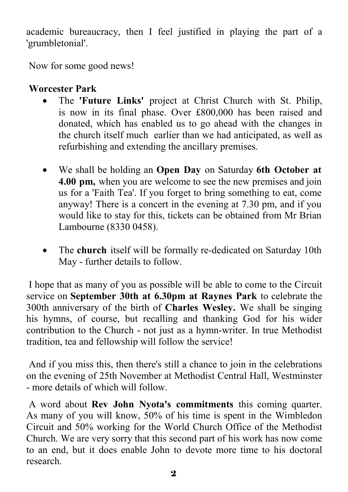academic bureaucracy, then I feel justified in playing the part of a 'grumbletonial'.

Now for some good news!

### **Worcester Park**

- The **'Future Links'** project at Christ Church with St. Philip, is now in its final phase. Over £800,000 has been raised and donated, which has enabled us to go ahead with the changes in the church itself much earlier than we had anticipated, as well as refurbishing and extending the ancillary premises.
- We shall be holding an **Open Day** on Saturday **6th October at 4.00 pm,** when you are welcome to see the new premises and join us for a 'Faith Tea'. If you forget to bring something to eat, come anyway! There is a concert in the evening at 7.30 pm, and if you would like to stay for this, tickets can be obtained from Mr Brian Lambourne (8330 0458).
- The **church** itself will be formally re-dedicated on Saturday 10th May - further details to follow.

 I hope that as many of you as possible will be able to come to the Circuit service on **September 30th at 6.30pm at Raynes Park** to celebrate the 300th anniversary of the birth of **Charles Wesley.** We shall be singing his hymns, of course, but recalling and thanking God for his wider contribution to the Church - not just as a hymn-writer. In true Methodist tradition, tea and fellowship will follow the service!

 And if you miss this, then there's still a chance to join in the celebrations on the evening of 25th November at Methodist Central Hall, Westminster - more details of which will follow.

 A word about **Rev John Nyota's commitments** this coming quarter. As many of you will know, 50% of his time is spent in the Wimbledon Circuit and 50% working for the World Church Office of the Methodist Church. We are very sorry that this second part of his work has now come to an end, but it does enable John to devote more time to his doctoral research.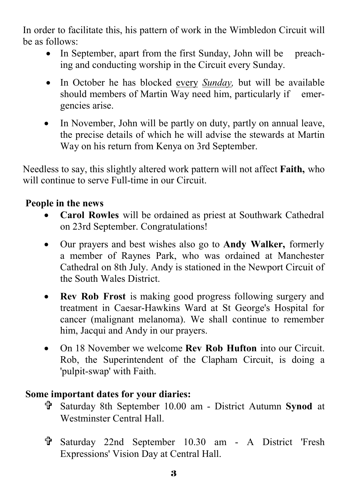In order to facilitate this, his pattern of work in the Wimbledon Circuit will be as follows:

- In September, apart from the first Sunday, John will be preaching and conducting worship in the Circuit every Sunday.
- In October he has blocked every *Sunday,* but will be available should members of Martin Way need him, particularly if emergencies arise.
- In November, John will be partly on duty, partly on annual leave, the precise details of which he will advise the stewards at Martin Way on his return from Kenya on 3rd September.

Needless to say, this slightly altered work pattern will not affect **Faith,** who will continue to serve Full-time in our Circuit.

#### **People in the news**

- **Carol Rowles** will be ordained as priest at Southwark Cathedral on 23rd September. Congratulations!
- Our prayers and best wishes also go to **Andy Walker,** formerly a member of Raynes Park, who was ordained at Manchester Cathedral on 8th July. Andy is stationed in the Newport Circuit of the South Wales District.
- **Rev Rob Frost** is making good progress following surgery and treatment in Caesar-Hawkins Ward at St George's Hospital for cancer (malignant melanoma). We shall continue to remember him, Jacqui and Andy in our prayers.
- On 18 November we welcome **Rev Rob Hufton** into our Circuit. Rob, the Superintendent of the Clapham Circuit, is doing a 'pulpit-swap' with Faith.

#### **Some important dates for your diaries:**

- = Saturday 8th September 10.00 am District Autumn **Synod** at Westminster Central Hall.
- = Saturday 22nd September 10.30 am A District 'Fresh Expressions' Vision Day at Central Hall.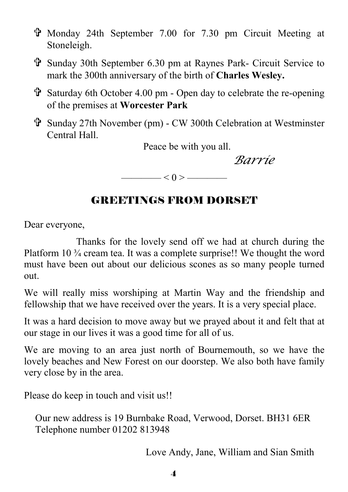- = Monday 24th September 7.00 for 7.30 pm Circuit Meeting at Stoneleigh.
- = Sunday 30th September 6.30 pm at Raynes Park- Circuit Service to mark the 300th anniversary of the birth of **Charles Wesley.**
- $\ddot{\mathbf{r}}$  Saturday 6th October 4.00 pm Open day to celebrate the re-opening of the premises at **Worcester Park**
- = Sunday 27th November (pm) CW 300th Celebration at Westminster Central Hall.

Peace be with you all.

*Barrie* 

 $\longrightarrow$  < 0 >  $\longrightarrow$ 

## GREETINGS FROM DORSET

Dear everyone,

 Thanks for the lovely send off we had at church during the Platform 10 ¾ cream tea. It was a complete surprise!! We thought the word must have been out about our delicious scones as so many people turned out.

We will really miss worshiping at Martin Way and the friendship and fellowship that we have received over the years. It is a very special place.

It was a hard decision to move away but we prayed about it and felt that at our stage in our lives it was a good time for all of us.

We are moving to an area just north of Bournemouth, so we have the lovely beaches and New Forest on our doorstep. We also both have family very close by in the area.

Please do keep in touch and visit us!!

Our new address is 19 Burnbake Road, Verwood, Dorset. BH31 6ER Telephone number 01202 813948

Love Andy, Jane, William and Sian Smith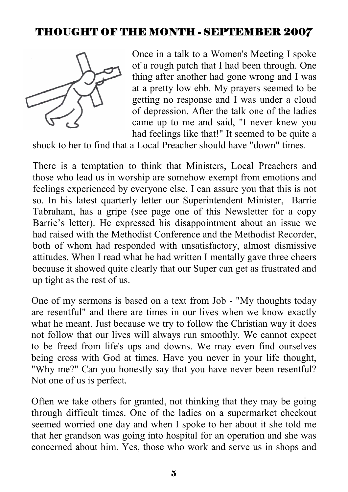### THOUGHT OF THE MONTH - SEPTEMBER 2007



Once in a talk to a Women's Meeting I spoke of a rough patch that I had been through. One thing after another had gone wrong and I was at a pretty low ebb. My prayers seemed to be getting no response and I was under a cloud of depression. After the talk one of the ladies came up to me and said, "I never knew you had feelings like that!" It seemed to be quite a

shock to her to find that a Local Preacher should have "down" times.

There is a temptation to think that Ministers, Local Preachers and those who lead us in worship are somehow exempt from emotions and feelings experienced by everyone else. I can assure you that this is not so. In his latest quarterly letter our Superintendent Minister, Barrie Tabraham, has a gripe (see page one of this Newsletter for a copy Barrie's letter). He expressed his disappointment about an issue we had raised with the Methodist Conference and the Methodist Recorder, both of whom had responded with unsatisfactory, almost dismissive attitudes. When I read what he had written I mentally gave three cheers because it showed quite clearly that our Super can get as frustrated and up tight as the rest of us.

One of my sermons is based on a text from Job - "My thoughts today are resentful" and there are times in our lives when we know exactly what he meant. Just because we try to follow the Christian way it does not follow that our lives will always run smoothly. We cannot expect to be freed from life's ups and downs. We may even find ourselves being cross with God at times. Have you never in your life thought, "Why me?" Can you honestly say that you have never been resentful? Not one of us is perfect.

Often we take others for granted, not thinking that they may be going through difficult times. One of the ladies on a supermarket checkout seemed worried one day and when I spoke to her about it she told me that her grandson was going into hospital for an operation and she was concerned about him. Yes, those who work and serve us in shops and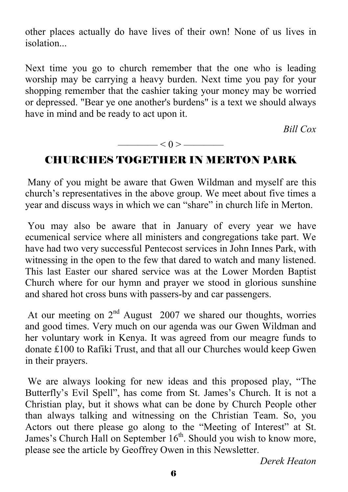other places actually do have lives of their own! None of us lives in *isolation* 

Next time you go to church remember that the one who is leading worship may be carrying a heavy burden. Next time you pay for your shopping remember that the cashier taking your money may be worried or depressed. "Bear ye one another's burdens" is a text we should always have in mind and be ready to act upon it.

*Bill Cox* 

$$
\overbrace{\hspace{1.5cm}}<0>\overbrace{\hspace{1.5cm}}
$$

### CHURCHES TOGETHER IN MERTON PARK

 Many of you might be aware that Gwen Wildman and myself are this church's representatives in the above group. We meet about five times a year and discuss ways in which we can "share" in church life in Merton.

 You may also be aware that in January of every year we have ecumenical service where all ministers and congregations take part. We have had two very successful Pentecost services in John Innes Park, with witnessing in the open to the few that dared to watch and many listened. This last Easter our shared service was at the Lower Morden Baptist Church where for our hymn and prayer we stood in glorious sunshine and shared hot cross buns with passers-by and car passengers.

At our meeting on  $2<sup>nd</sup>$  August 2007 we shared our thoughts, worries and good times. Very much on our agenda was our Gwen Wildman and her voluntary work in Kenya. It was agreed from our meagre funds to donate £100 to Rafiki Trust, and that all our Churches would keep Gwen in their prayers.

 We are always looking for new ideas and this proposed play, "The Butterfly's Evil Spell", has come from St. James's Church. It is not a Christian play, but it shows what can be done by Church People other than always talking and witnessing on the Christian Team. So, you Actors out there please go along to the "Meeting of Interest" at St. James's Church Hall on September  $16<sup>th</sup>$ . Should you wish to know more, please see the article by Geoffrey Owen in this Newsletter.

*Derek Heaton*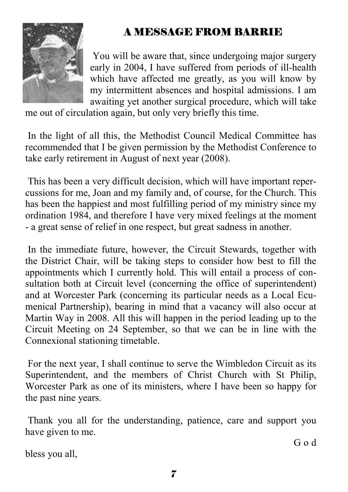# A MESSAGE FROM BARRIE



 You will be aware that, since undergoing major surgery early in 2004, I have suffered from periods of ill-health which have affected me greatly, as you will know by my intermittent absences and hospital admissions. I am awaiting yet another surgical procedure, which will take

me out of circulation again, but only very briefly this time.

 In the light of all this, the Methodist Council Medical Committee has recommended that I be given permission by the Methodist Conference to take early retirement in August of next year (2008).

 This has been a very difficult decision, which will have important repercussions for me, Joan and my family and, of course, for the Church. This has been the happiest and most fulfilling period of my ministry since my ordination 1984, and therefore I have very mixed feelings at the moment - a great sense of relief in one respect, but great sadness in another.

 In the immediate future, however, the Circuit Stewards, together with the District Chair, will be taking steps to consider how best to fill the appointments which I currently hold. This will entail a process of consultation both at Circuit level (concerning the office of superintendent) and at Worcester Park (concerning its particular needs as a Local Ecumenical Partnership), bearing in mind that a vacancy will also occur at Martin Way in 2008. All this will happen in the period leading up to the Circuit Meeting on 24 September, so that we can be in line with the Connexional stationing timetable.

 For the next year, I shall continue to serve the Wimbledon Circuit as its Superintendent, and the members of Christ Church with St Philip, Worcester Park as one of its ministers, where I have been so happy for the past nine years.

 Thank you all for the understanding, patience, care and support you have given to me.

bless you all,

G o d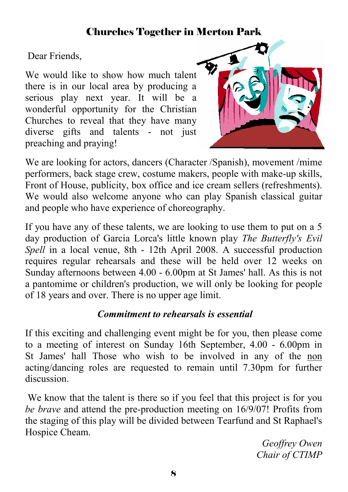## Churches Together in Merton Park

Dear Friends,

We would like to show how much talent there is in our local area by producing a serious play next year. It will be a wonderful opportunity for the Christian Churches to reveal that they have many diverse gifts and talents - not just preaching and praying!



We are looking for actors, dancers (Character /Spanish), movement /mime performers, back stage crew, costume makers, people with make-up skills, Front of House, publicity, box office and ice cream sellers (refreshments). We would also welcome anyone who can play Spanish classical guitar and people who have experience of choreography.

If you have any of these talents, we are looking to use them to put on a 5 day production of Garcia Lorca's little known play *The Butterfly's Evil Spell* in a local venue, 8th - 12th April 2008. A successful production requires regular rehearsals and these will be held over 12 weeks on Sunday afternoons between 4.00 - 6.00pm at St James' hall. As this is not a pantomime or children's production, we will only be looking for people of 18 years and over. There is no upper age limit.

#### *Commitment to rehearsals is essential*

If this exciting and challenging event might be for you, then please come to a meeting of interest on Sunday 16th September, 4.00 - 6.00pm in St James' hall Those who wish to be involved in any of the non acting/dancing roles are requested to remain until 7.30pm for further discussion.

 We know that the talent is there so if you feel that this project is for you *be brave* and attend the pre-production meeting on 16/9/07! Profits from the staging of this play will be divided between Tearfund and St Raphael's Hospice Cheam.

> *Geoffrey Owen Chair of CTIMP*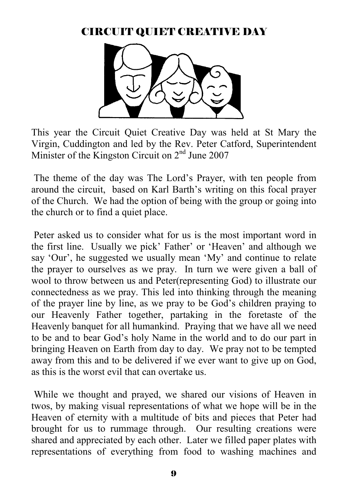### CIRCUIT QUIET CREATIVE DAY



This year the Circuit Quiet Creative Day was held at St Mary the Virgin, Cuddington and led by the Rev. Peter Catford, Superintendent Minister of the Kingston Circuit on 2nd June 2007

 The theme of the day was The Lord's Prayer, with ten people from around the circuit, based on Karl Barth's writing on this focal prayer of the Church. We had the option of being with the group or going into the church or to find a quiet place.

 Peter asked us to consider what for us is the most important word in the first line. Usually we pick' Father' or 'Heaven' and although we say 'Our', he suggested we usually mean 'My' and continue to relate the prayer to ourselves as we pray. In turn we were given a ball of wool to throw between us and Peter(representing God) to illustrate our connectedness as we pray. This led into thinking through the meaning of the prayer line by line, as we pray to be God's children praying to our Heavenly Father together, partaking in the foretaste of the Heavenly banquet for all humankind. Praying that we have all we need to be and to bear God's holy Name in the world and to do our part in bringing Heaven on Earth from day to day. We pray not to be tempted away from this and to be delivered if we ever want to give up on God, as this is the worst evil that can overtake us.

 While we thought and prayed, we shared our visions of Heaven in twos, by making visual representations of what we hope will be in the Heaven of eternity with a multitude of bits and pieces that Peter had brought for us to rummage through. Our resulting creations were shared and appreciated by each other. Later we filled paper plates with representations of everything from food to washing machines and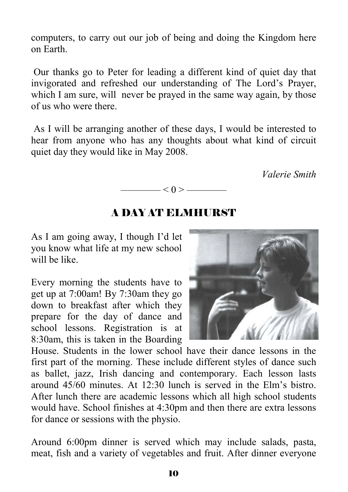computers, to carry out our job of being and doing the Kingdom here on Earth.

 Our thanks go to Peter for leading a different kind of quiet day that invigorated and refreshed our understanding of The Lord's Prayer, which I am sure, will never be prayed in the same way again, by those of us who were there.

 As I will be arranging another of these days, I would be interested to hear from anyone who has any thoughts about what kind of circuit quiet day they would like in May 2008.

 *Valerie Smith*



#### A DAY AT ELMHURST

As I am going away, I though I'd let you know what life at my new school will be like.

Every morning the students have to get up at 7:00am! By 7:30am they go down to breakfast after which they prepare for the day of dance and school lessons. Registration is at 8:30am, this is taken in the Boarding



House. Students in the lower school have their dance lessons in the first part of the morning. These include different styles of dance such as ballet, jazz, Irish dancing and contemporary. Each lesson lasts around 45/60 minutes. At 12:30 lunch is served in the Elm's bistro. After lunch there are academic lessons which all high school students would have. School finishes at 4:30pm and then there are extra lessons for dance or sessions with the physio.

Around 6:00pm dinner is served which may include salads, pasta, meat, fish and a variety of vegetables and fruit. After dinner everyone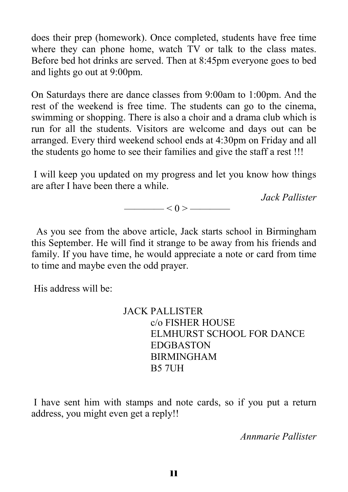does their prep (homework). Once completed, students have free time where they can phone home, watch TV or talk to the class mates. Before bed hot drinks are served. Then at 8:45pm everyone goes to bed and lights go out at 9:00pm.

On Saturdays there are dance classes from 9:00am to 1:00pm. And the rest of the weekend is free time. The students can go to the cinema, swimming or shopping. There is also a choir and a drama club which is run for all the students. Visitors are welcome and days out can be arranged. Every third weekend school ends at 4:30pm on Friday and all the students go home to see their families and give the staff a rest !!!

 I will keep you updated on my progress and let you know how things are after I have been there a while.

*Jack Pallister*

 $\longrightarrow$   $<$  0 >  $\longrightarrow$ 

 As you see from the above article, Jack starts school in Birmingham this September. He will find it strange to be away from his friends and family. If you have time, he would appreciate a note or card from time to time and maybe even the odd prayer.

His address will be:

 JACK PALLISTER c/o FISHER HOUSE ELMHURST SCHOOL FOR DANCE EDGBASTON BIRMINGHAM B5 7UH

 I have sent him with stamps and note cards, so if you put a return address, you might even get a reply!!

*Annmarie Pallister*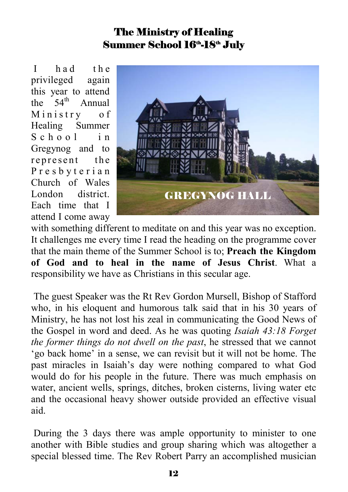## The Ministry of Healing Summer School 16<sup>th</sup>-18<sup>th</sup> July

I had the privileged again this year to attend the  $54<sup>th</sup>$  Annual Ministry of Healing Summer S c h o o l in Gregynog and to represent the P r e s b y t e r i a n Church of Wales London district. Each time that I attend I come away



with something different to meditate on and this year was no exception. It challenges me every time I read the heading on the programme cover that the main theme of the Summer School is to; **Preach the Kingdom of God and to heal in the name of Jesus Christ**. What a responsibility we have as Christians in this secular age.

 The guest Speaker was the Rt Rev Gordon Mursell, Bishop of Stafford who, in his eloquent and humorous talk said that in his 30 years of Ministry, he has not lost his zeal in communicating the Good News of the Gospel in word and deed. As he was quoting *Isaiah 43:18 Forget the former things do not dwell on the past*, he stressed that we cannot 'go back home' in a sense, we can revisit but it will not be home. The past miracles in Isaiah's day were nothing compared to what God would do for his people in the future. There was much emphasis on water, ancient wells, springs, ditches, broken cisterns, living water etc and the occasional heavy shower outside provided an effective visual aid.

 During the 3 days there was ample opportunity to minister to one another with Bible studies and group sharing which was altogether a special blessed time. The Rev Robert Parry an accomplished musician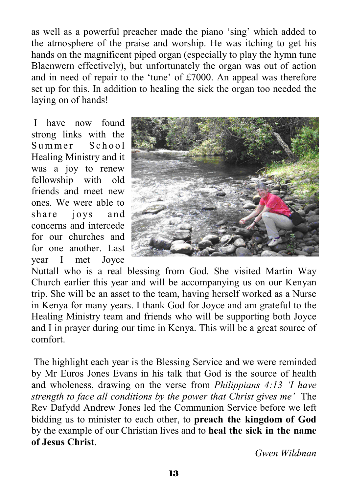as well as a powerful preacher made the piano 'sing' which added to the atmosphere of the praise and worship. He was itching to get his hands on the magnificent piped organ (especially to play the hymn tune Blaenwern effectively), but unfortunately the organ was out of action and in need of repair to the 'tune' of £7000. An appeal was therefore set up for this. In addition to healing the sick the organ too needed the laying on of hands!

 I have now found strong links with the Summer School Healing Ministry and it was a joy to renew fellowship with old friends and meet new ones. We were able to share joys and concerns and intercede for our churches and for one another Last year I met Joyce



Nuttall who is a real blessing from God. She visited Martin Way Church earlier this year and will be accompanying us on our Kenyan trip. She will be an asset to the team, having herself worked as a Nurse in Kenya for many years. I thank God for Joyce and am grateful to the Healing Ministry team and friends who will be supporting both Joyce and I in prayer during our time in Kenya. This will be a great source of comfort.

 The highlight each year is the Blessing Service and we were reminded by Mr Euros Jones Evans in his talk that God is the source of health and wholeness, drawing on the verse from *Philippians 4:13 'I have strength to face all conditions by the power that Christ gives me'* The Rev Dafydd Andrew Jones led the Communion Service before we left bidding us to minister to each other, to **preach the kingdom of God**  by the example of our Christian lives and to **heal the sick in the name of Jesus Christ**.

*Gwen Wildman*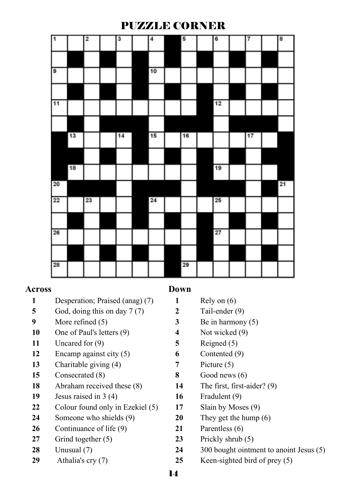### PUZZLE CORNER

| 1  |    | $\overline{2}$ | 3  | $\overline{4}$ | 5  | 6  | 7  | 8  |
|----|----|----------------|----|----------------|----|----|----|----|
|    |    |                |    |                |    |    |    |    |
| ø  |    |                |    | 10             |    |    |    |    |
|    |    |                |    |                |    |    |    |    |
| 11 |    |                |    |                |    | 12 |    |    |
|    |    |                |    |                |    |    |    |    |
|    | 13 |                | 14 | 15             | 16 |    | 17 |    |
|    |    |                |    |                |    |    |    |    |
|    | 18 |                |    |                |    | 19 |    |    |
| 20 |    |                |    |                |    |    |    | 21 |
| 22 |    | 23             |    | 24             |    | 25 |    |    |
|    |    |                |    |                |    |    |    |    |
| 26 |    |                |    |                |    | 27 |    |    |
|    |    |                |    |                |    |    |    |    |
| 28 |    |                |    |                | 29 |    |    |    |

#### **Across**

- Desperation; Praised (anag) (7)
- God, doing this on day 7 (7)
- More refined (5)
- One of Paul's letters (9)
- Uncared for (9)
- Encamp against city (5)
- Charitable giving (4)
- Consecrated (8)
- Abraham received these (8)
- Jesus raised in 3 (4)
- 22 Colour found only in Ezekiel (5)
- Someone who shields (9)
- Continuance of life (9)
- Grind together (5)
- Unusual (7)
- Athalia's cry (7)

#### **Down**

- Rely on (6)
- Tail-ender (9)
- Be in harmony (5)
- Not wicked (9)
- Reigned (5)
- Contented (9)
- Picture (5)
- Good news (6)
- The first, first-aider? (9)
- Fradulent (9)
- Slain by Moses (9)
- They get the hump (6)
- Parentless (6)
- Prickly shrub (5)
- 300 bought ointment to anoint Jesus (5)
- Keen-sighted bird of prey (5)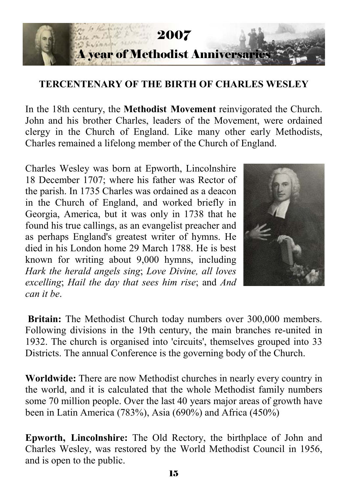

#### **TERCENTENARY OF THE BIRTH OF CHARLES WESLEY**

In the 18th century, the **Methodist Movement** reinvigorated the Church. John and his brother Charles, leaders of the Movement, were ordained clergy in the Church of England. Like many other early Methodists, Charles remained a lifelong member of the Church of England.

Charles Wesley was born at Epworth, Lincolnshire 18 December 1707; where his father was Rector of the parish. In 1735 Charles was ordained as a deacon in the Church of England, and worked briefly in Georgia, America, but it was only in 1738 that he found his true callings, as an evangelist preacher and as perhaps England's greatest writer of hymns. He died in his London home 29 March 1788. He is best known for writing about 9,000 hymns, including *Hark the herald angels sing*; *Love Divine, all loves excelling*; *Hail the day that sees him rise*; and *And can it be*.



**Britain:** The Methodist Church today numbers over 300,000 members. Following divisions in the 19th century, the main branches re-united in 1932. The church is organised into 'circuits', themselves grouped into 33 Districts. The annual Conference is the governing body of the Church.

**Worldwide:** There are now Methodist churches in nearly every country in the world, and it is calculated that the whole Methodist family numbers some 70 million people. Over the last 40 years major areas of growth have been in Latin America (783%), Asia (690%) and Africa (450%)

**Epworth, Lincolnshire:** The Old Rectory, the birthplace of John and Charles Wesley, was restored by the World Methodist Council in 1956, and is open to the public.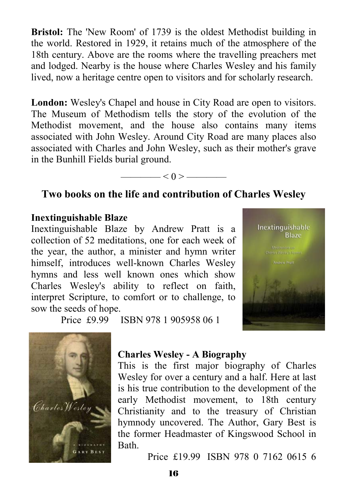**Bristol:** The 'New Room' of 1739 is the oldest Methodist building in the world. Restored in 1929, it retains much of the atmosphere of the 18th century. Above are the rooms where the travelling preachers met and lodged. Nearby is the house where Charles Wesley and his family lived, now a heritage centre open to visitors and for scholarly research.

**London:** Wesley's Chapel and house in City Road are open to visitors. The Museum of Methodism tells the story of the evolution of the Methodist movement, and the house also contains many items associated with John Wesley. Around City Road are many places also associated with Charles and John Wesley, such as their mother's grave in the Bunhill Fields burial ground.



### **Two books on the life and contribution of Charles Wesley**

#### **Inextinguishable Blaze**

Inextinguishable Blaze by Andrew Pratt is a collection of 52 meditations, one for each week of the year, the author, a minister and hymn writer himself, introduces well-known Charles Wesley hymns and less well known ones which show Charles Wesley's ability to reflect on faith, interpret Scripture, to comfort or to challenge, to sow the seeds of hope.



Price £9.99 ISBN 978 1 905958 06 1



#### **Charles Wesley - A Biography**

This is the first major biography of Charles Wesley for over a century and a half. Here at last is his true contribution to the development of the early Methodist movement, to 18th century Christianity and to the treasury of Christian hymnody uncovered. The Author, Gary Best is the former Headmaster of Kingswood School in **Bath** 

Price £19.99 ISBN 978 0 7162 0615 6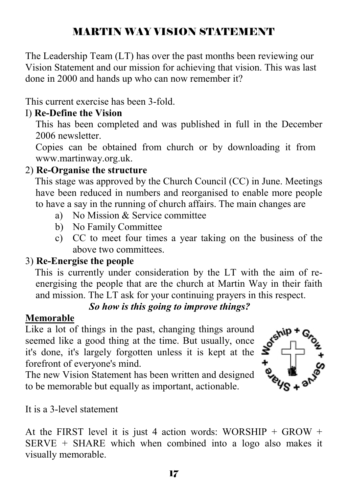# MARTIN WAY VISION STATEMENT

The Leadership Team (LT) has over the past months been reviewing our Vision Statement and our mission for achieving that vision. This was last done in 2000 and hands up who can now remember it?

This current exercise has been 3-fold.

#### I) **Re-Define the Vision**

This has been completed and was published in full in the December 2006 newsletter

Copies can be obtained from church or by downloading it from www.martinway.org.uk.

### 2) **Re-Organise the structure**

This stage was approved by the Church Council (CC) in June. Meetings have been reduced in numbers and reorganised to enable more people to have a say in the running of church affairs. The main changes are

- a) No Mission & Service committee
- b) No Family Committee
- c) CC to meet four times a year taking on the business of the above two committees.

#### 3) **Re-Energise the people**

This is currently under consideration by the LT with the aim of reenergising the people that are the church at Martin Way in their faith and mission. The LT ask for your continuing prayers in this respect.

### *So how is this going to improve things?*

#### **Memorable**

Like a lot of things in the past, changing things around seemed like a good thing at the time. But usually, once it's done, it's largely forgotten unless it is kept at the forefront of everyone's mind.

The new Vision Statement has been written and designed to be memorable but equally as important, actionable.



It is a 3-level statement

At the FIRST level it is just 4 action words: WORSHIP + GROW +  $SERVE + SHARE$  which when combined into a logo also makes it visually memorable.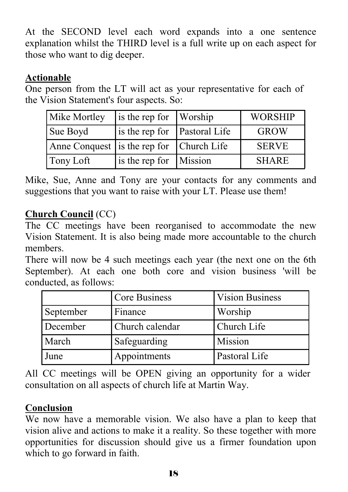At the SECOND level each word expands into a one sentence explanation whilst the THIRD level is a full write up on each aspect for those who want to dig deeper.

## **Actionable**

One person from the LT will act as your representative for each of the Vision Statement's four aspects. So:

| Mike Mortley                             | is the rep for Worship       | <b>WORSHIP</b> |
|------------------------------------------|------------------------------|----------------|
| Sue Boyd                                 | is the rep for Pastoral Life | <b>GROW</b>    |
| Anne Conquest is the rep for Church Life |                              | <b>SERVE</b>   |
| Tony Loft                                | is the rep for Mission       | <b>SHARE</b>   |

Mike, Sue, Anne and Tony are your contacts for any comments and suggestions that you want to raise with your LT. Please use them!

## **Church Council** (CC)

The CC meetings have been reorganised to accommodate the new Vision Statement. It is also being made more accountable to the church members.

There will now be 4 such meetings each year (the next one on the 6th September). At each one both core and vision business 'will be conducted, as follows:

|           | <b>Core Business</b> | <b>Vision Business</b> |
|-----------|----------------------|------------------------|
| September | Finance              | Worship                |
| December  | Church calendar      | Church Life            |
| March     | Safeguarding         | Mission                |
| June      | Appointments         | Pastoral Life          |

All CC meetings will be OPEN giving an opportunity for a wider consultation on all aspects of church life at Martin Way.

## **Conclusion**

We now have a memorable vision. We also have a plan to keep that vision alive and actions to make it a reality. So these together with more opportunities for discussion should give us a firmer foundation upon which to go forward in faith.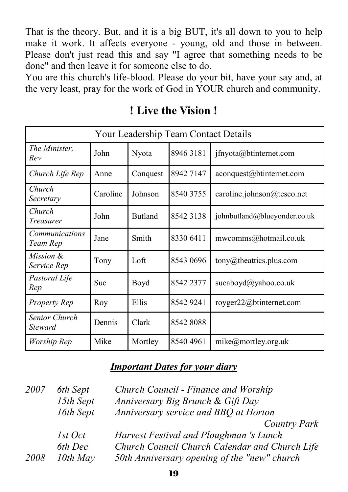That is the theory. But, and it is a big BUT, it's all down to you to help make it work. It affects everyone - young, old and those in between. Please don't just read this and say "I agree that something needs to be done" and then leave it for someone else to do.

You are this church's life-blood. Please do your bit, have your say and, at the very least, pray for the work of God in YOUR church and community.

| Your Leadership Team Contact Details |          |                |           |                                      |  |  |
|--------------------------------------|----------|----------------|-----------|--------------------------------------|--|--|
| The Minister,<br>Rev                 | John     | Nyota          | 8946 3181 | jfnyota@btinternet.com               |  |  |
| Church Life Rep                      | Anne     | Conquest       | 8942 7147 | aconquest@btinternet.com             |  |  |
| Church<br>Secretary                  | Caroline | Johnson        | 8540 3755 | caroline.johnson@tesco.net           |  |  |
| Church<br>Treasurer                  | John     | <b>Butland</b> | 8542 3138 | johnbutland@blueyonder.co.uk         |  |  |
| <b>Communications</b><br>Team Rep    | Jane     | Smith          | 8330 6411 | mwcomms@hotmail.co.uk                |  |  |
| Mission &<br>Service Rep             | Tony     | Loft           | 8543 0696 | $\text{tony}(a)$ the attics plus com |  |  |
| Pastoral Life<br>Rep                 | Sue      | Boyd           | 8542 2377 | sueaboy $d$ @yahoo.co.uk             |  |  |
| <b>Property Rep</b>                  | Roy      | Ellis          | 8542 9241 | royger22@btinternet.com              |  |  |
| Senior Church<br>Steward             | Dennis   | Clark          | 85428088  |                                      |  |  |
| Worship Rep                          | Mike     | Mortley        | 8540 4961 | mike@mortley.org.uk                  |  |  |

**! Live the Vision !** 

#### *Important Dates for your diary*

| 2007 | 6th Sept  | Church Council - Finance and Worship           |
|------|-----------|------------------------------------------------|
|      | 15th Sept | Anniversary Big Brunch & Gift Day              |
|      | 16th Sept | Anniversary service and BBQ at Horton          |
|      |           | Country Park                                   |
|      | 1st Oct   | Harvest Festival and Ploughman 's Lunch        |
|      | 6th Dec   | Church Council Church Calendar and Church Life |
| 2008 | 10th May  | 50th Anniversary opening of the "new" church   |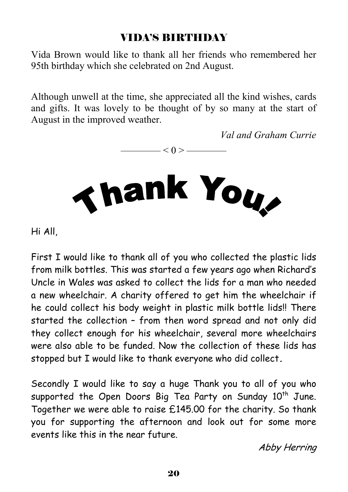# VIDA'S BIRTHDAY

Vida Brown would like to thank all her friends who remembered her 95th birthday which she celebrated on 2nd August.

Although unwell at the time, she appreciated all the kind wishes, cards and gifts. It was lovely to be thought of by so many at the start of August in the improved weather.

 $-$  < 0 >  $-$ 

*Val and Graham Currie*



Hi All,

First I would like to thank all of you who collected the plastic lids from milk bottles. This was started a few years ago when Richard's Uncle in Wales was asked to collect the lids for a man who needed a new wheelchair. A charity offered to get him the wheelchair if he could collect his body weight in plastic milk bottle lids!! There started the collection – from then word spread and not only did they collect enough for his wheelchair, several more wheelchairs were also able to be funded. Now the collection of these lids has stopped but I would like to thank everyone who did collect**.** 

Secondly I would like to say a huge Thank you to all of you who supported the Open Doors Big Tea Party on Sunday 10<sup>th</sup> June. Together we were able to raise £145.00 for the charity. So thank you for supporting the afternoon and look out for some more events like this in the near future.

Abby Herring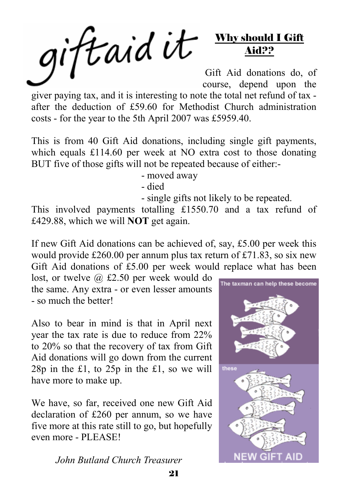giftaid it Why should I Gift Aid?? Gift Aid donations do, of course, depend upon the

giver paying tax, and it is interesting to note the total net refund of tax after the deduction of £59.60 for Methodist Church administration costs - for the year to the 5th April 2007 was £5959.40.

This is from 40 Gift Aid donations, including single gift payments, which equals £114.60 per week at NO extra cost to those donating BUT five of those gifts will not be repeated because of either:-

- moved away

- died

- single gifts not likely to be repeated.

This involved payments totalling £1550.70 and a tax refund of £429.88, which we will **NOT** get again.

If new Gift Aid donations can be achieved of, say, £5.00 per week this would provide £260.00 per annum plus tax return of £71.83, so six new Gift Aid donations of £5.00 per week would replace what has been

lost, or twelve @ £2.50 per week would do the same. Any extra - or even lesser amounts - so much the better!

Also to bear in mind is that in April next year the tax rate is due to reduce from 22% to 20% so that the recovery of tax from Gift Aid donations will go down from the current 28p in the £1, to 25p in the £1, so we will have more to make up.

We have, so far, received one new Gift Aid declaration of £260 per annum, so we have five more at this rate still to go, but hopefully even more - PLEASE!

*John Butland Church Treasurer*

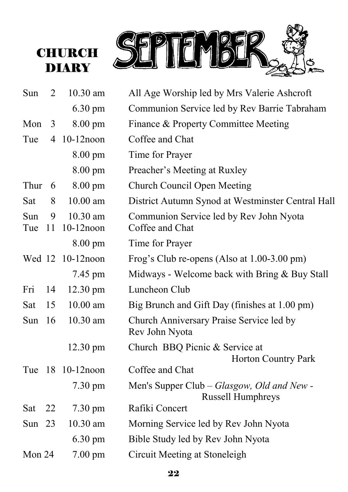



| Sun        | 2              | 10.30 am                 | All Age Worship led by Mrs Valerie Ashcroft                            |
|------------|----------------|--------------------------|------------------------------------------------------------------------|
|            |                | $6.30 \text{ pm}$        | Communion Service led by Rev Barrie Tabraham                           |
| Mon        | 3              | 8.00 pm                  | Finance & Property Committee Meeting                                   |
| Tue        | $\overline{4}$ | $10-12$ noon             | Coffee and Chat                                                        |
|            |                | 8.00 pm                  | Time for Prayer                                                        |
|            |                | $8.00 \text{ pm}$        | Preacher's Meeting at Ruxley                                           |
| Thur       | 6              | $8.00 \text{ pm}$        | <b>Church Council Open Meeting</b>                                     |
| Sat        | 8              | $10.00$ am               | District Autumn Synod at Westminster Central Hall                      |
| Sun<br>Tue | 9<br>11        | 10.30 am<br>$10-12$ noon | Communion Service led by Rev John Nyota<br>Coffee and Chat             |
|            |                | 8.00 pm                  | Time for Prayer                                                        |
|            |                | Wed 12 10-12 noon        | Frog's Club re-opens (Also at 1.00-3.00 pm)                            |
|            |                | 7.45 pm                  | Midways - Welcome back with Bring $&$ Buy Stall                        |
| Fri        | 14             | $12.30 \text{ pm}$       | Luncheon Club                                                          |
| Sat        | 15             | $10.00$ am               | Big Brunch and Gift Day (finishes at 1.00 pm)                          |
| <b>Sun</b> | 16             | 10.30 am                 | Church Anniversary Praise Service led by<br>Rev John Nyota             |
|            |                | $12.30 \text{ pm}$       | Church BBQ Picnic & Service at<br>Horton Country Park                  |
| Tue        | 18             | $10-12$ noon             | Coffee and Chat                                                        |
|            |                | $7.30 \text{ pm}$        | Men's Supper Club – Glasgow, Old and New -<br><b>Russell Humphreys</b> |
| Sat        | 22             | 7.30 pm                  | Rafiki Concert                                                         |
| Sun $23$   |                | 10.30 am                 | Morning Service led by Rev John Nyota                                  |
|            |                | $6.30 \text{ pm}$        | Bible Study led by Rev John Nyota                                      |
| Mon 24     |                | $7.00 \text{ pm}$        | Circuit Meeting at Stoneleigh                                          |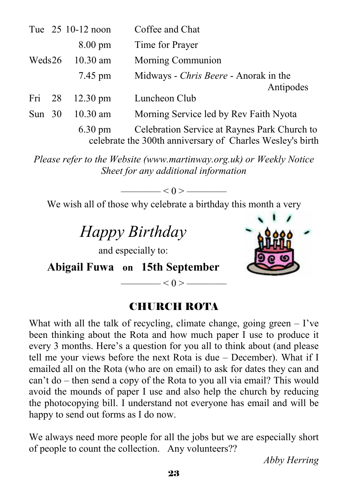|          | Tue 25 10-12 noon  | Coffee and Chat                                                                                           |
|----------|--------------------|-----------------------------------------------------------------------------------------------------------|
|          | $8.00 \text{ pm}$  | Time for Prayer                                                                                           |
| Weds26   | $10.30$ am         | Morning Communion                                                                                         |
|          | 7.45 pm            | Midways - Chris Beere - Anorak in the                                                                     |
|          |                    | Antipodes                                                                                                 |
| Fri 28   | $12.30 \text{ pm}$ | Luncheon Club                                                                                             |
| Sun $30$ | $10.30$ am         | Morning Service led by Rev Faith Nyota                                                                    |
|          | $6.30 \text{ pm}$  | Celebration Service at Raynes Park Church to<br>celebrate the 300th anniversary of Charles Wesley's birth |

*Please refer to the Website (www.martinway.org.uk) or Weekly Notice Sheet for any additional information* 

 $-$  < 0 >  $-$ 

We wish all of those why celebrate a birthday this month a very

# *Happy Birthday*

and especially to:

**Abigail Fuwa on 15th September** 

## CHURCH ROTA

—— $< 0 > -$ 

What with all the talk of recycling, climate change, going green  $-$  I've been thinking about the Rota and how much paper I use to produce it every 3 months. Here's a question for you all to think about (and please tell me your views before the next Rota is due – December). What if I emailed all on the Rota (who are on email) to ask for dates they can and can't do – then send a copy of the Rota to you all via email? This would avoid the mounds of paper I use and also help the church by reducing the photocopying bill. I understand not everyone has email and will be happy to send out forms as I do now.

We always need more people for all the jobs but we are especially short of people to count the collection. Any volunteers??

*Abby Herring*